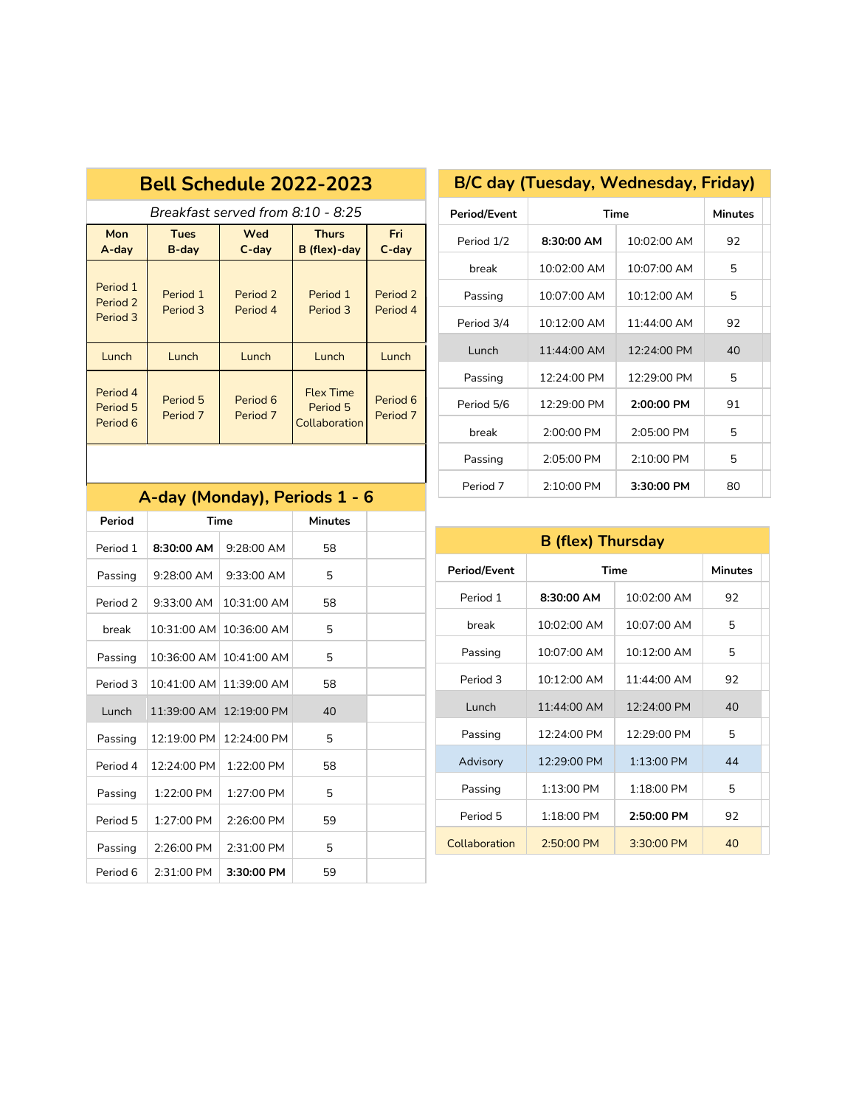|                                                                                                                   | <b>Bell Schedule 2022-2023</b> |                                   |                                               |                      |  |
|-------------------------------------------------------------------------------------------------------------------|--------------------------------|-----------------------------------|-----------------------------------------------|----------------------|--|
|                                                                                                                   |                                | Breakfast served from 8:10 - 8:25 |                                               |                      |  |
| Mon<br><b>Fri</b><br>Wed<br><b>Thurs</b><br><b>Tues</b><br>B (flex)-day<br>A-day<br>$C$ -day<br>$C$ -day<br>B-day |                                |                                   |                                               |                      |  |
| Period 1<br>Period 2<br>Period 3                                                                                  | Period 1<br>Period 3           | Period 2<br>Period 4              | Period 1<br>Period 3                          | Period 2<br>Period 4 |  |
| Lunch                                                                                                             | Lunch                          | Lunch                             | Lunch                                         | Lunch                |  |
| Period 4<br>Period 5<br>Period 6                                                                                  | Period 5<br>Period 7           | Period 6<br>Period 7              | <b>Flex Time</b><br>Period 5<br>Collaboration | Period 6<br>Period 7 |  |

# **Period/Event Time Minutes** Period 1/2 **8:30:00 AM** 10:02:00 AM 92 break  $\vert$  10:02:00 AM  $\vert$  10:07:00 AM  $\vert$  5 Passing | 10:07:00 AM | 10:12:00 AM | 5 Period 3/4 10:12:00 AM 11:44:00 AM 92 Lunch 11:44:00 AM 12:24:00 PM 40 Passing | 12:24:00 PM | 12:29:00 PM | 5 Period 5/6 12:29:00 PM 2:00:00 PM 91 break 2:00:00 PM 2:05:00 PM 5 Passing 2:05:00 PM 2:10:00 PM 5 Period 7 | 2:10:00 PM | 3:30:00 PM | 80

## **A-day (Monday), Periods 1 - 6**

| Period              |                       | Time                  | <b>Minutes</b> |  |
|---------------------|-----------------------|-----------------------|----------------|--|
| Period 1            | 8:30:00 AM            | $9:28:00$ AM          | 58             |  |
| Passing             | $9.28:00$ AM          | $9.33.00$ AM          | 5              |  |
| Period <sub>2</sub> | $9:33:00$ AM          | $10:31:00$ AM         | 58             |  |
| hreak               | $10:31:00$ AM         | 10:36:00 AM           | 5              |  |
| Passing             | 10:36:00 AM           | 10:41:00 AM           | 5              |  |
| Period 3            | $10:41:00 \text{ AM}$ | $11:39:00$ AM         | 58             |  |
| Lunch               | 11:39:00 AM           | $12:19:00 \text{ PM}$ | 40             |  |
| Passing             | $12:19:00 \text{ PM}$ | $12:24:00 \text{ PM}$ | 5              |  |
| Period 4            | $12:24:00 \text{ PM}$ | 1:22:00 PM            | 58             |  |
| Passing             | $1:22:00$ PM          | $1:27:00$ PM          | 5              |  |
| Period 5            | $1:27:00$ PM          | $2:26:00$ PM          | 59             |  |
| Passing             | 2:26:00 PM            | 2:31:00 PM            | 5              |  |
| Period 6            | 2:31:00 PM            | 3:30:00 PM            | 59             |  |

| <b>B</b> (flex) Thursday |                       |                       |                |  |
|--------------------------|-----------------------|-----------------------|----------------|--|
| <b>Period/Event</b>      |                       | Time                  | <b>Minutes</b> |  |
| Period 1                 | $8:30:00$ AM          | 10:02:00 AM           | 92             |  |
| break                    | 10:02:00 AM           | 10:07:00 AM           | 5              |  |
| Passing                  | $10:07:00$ AM         | $10:12:00$ AM         | 5              |  |
| Period 3                 | 10:12:00 AM           | 11:44:00 AM           | 92             |  |
| Lunch                    | 11:44:00 AM           | $12.24.00 \text{ PM}$ | 40             |  |
| Passing                  | $12:24:00 \text{ PM}$ | $12:29:00 \text{ PM}$ | г,             |  |
| Advisory                 | $12:29:00 \text{ PM}$ | 1:13:00 PM            | 44             |  |
| Passing                  | 1:13:00 PM            | 1:18:00 PM            | 5              |  |
| Period 5                 | 1:18:00 PM            | $2:50:00$ PM          | 92             |  |
| Collaboration            | $2:50:00$ PM          | $3:30:00$ PM          | 40             |  |

### **B/C day (Tuesday, Wednesday, Friday)**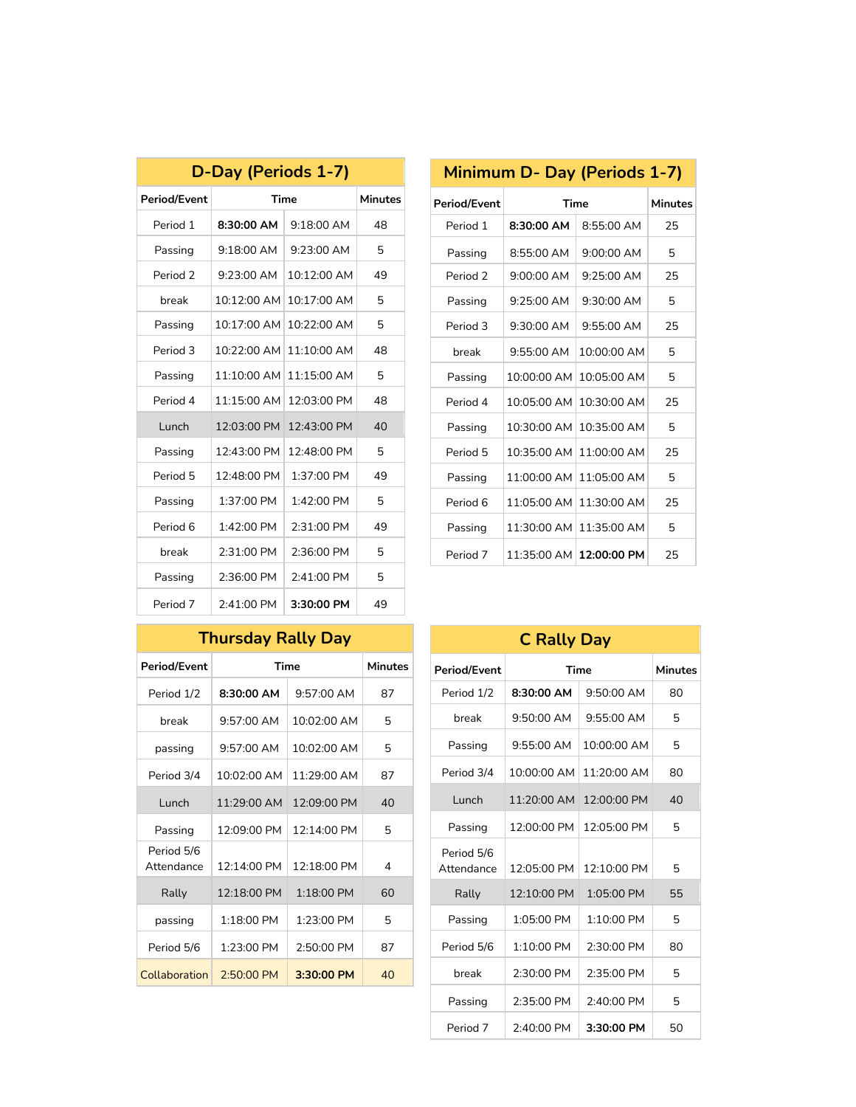| D-Day (Periods 1-7) |               |                       |                |  |
|---------------------|---------------|-----------------------|----------------|--|
| <b>Period/Event</b> |               | <b>Time</b>           | <b>Minutes</b> |  |
| Period 1            | 8:30:00 AM    | $9:18:00$ AM          | 48             |  |
| Passing             | $9:18:00$ AM  | $9:23:00$ AM          | 5              |  |
| Period 2            | $9:23:00$ AM  | 10:12:00 AM           | 49             |  |
| break               | 10:12:00 AM   | 10:17:00 AM           | 5              |  |
| Passing             | 10:17:00 AM   | 10:22:00 AM           | 5              |  |
| Period 3            | 10:22:00 AM   | 11:10:00 AM           | 48             |  |
| Passing             | 11:10:00 AM   | 11:15:00 AM           | 5              |  |
| Period 4            | $11:15:00$ AM | $12:03:00 \text{ PM}$ | 48             |  |
| Lunch               | 12:03:00 PM   | 12:43:00 PM           | 40             |  |
| Passing             | 12:43:00 PM   | 12:48:00 PM           | 5              |  |
| Period 5            | 12:48:00 PM   | 1:37:00 PM            | 49             |  |
| Passing             | 1:37:00 PM    | 1:42:00 PM            | 5              |  |
| Period 6            | 1:42:00 PM    | 2:31:00 PM            | 49             |  |
| break               | 2:31:00 PM    | 2:36:00 PM            | 5              |  |
| Passing             | 2:36:00 PM    | 2:41:00 PM            | 5              |  |
| Period 7            | 2:41:00 PM    | 3:30:00 PM            | 49             |  |

| <b>Minimum D- Day (Periods 1-7)</b> |               |               |                |  |
|-------------------------------------|---------------|---------------|----------------|--|
| <b>Period/Event</b>                 | Time          |               | <b>Minutes</b> |  |
| Period 1                            | 8:30:00 AM    | 8:55:00 AM    | 25             |  |
| Passing                             | 8:55:00 AM    | $9:00:00$ AM  | 5              |  |
| Period <sub>2</sub>                 | $9:00:00$ AM  | $9.25:00$ AM  | 25             |  |
| Passing                             | $9:25:00$ AM  | $9:30:00$ AM  | 5              |  |
| Period 3                            | $9:30:00$ AM  | $9.55:00$ AM  | 25             |  |
| break                               | $9.55.00$ AM  | 10:00:00 AM   | 5              |  |
| Passing                             | 10:00:00 AM   | 10:05:00 AM   | 5              |  |
| Period 4                            | 10:05:00 AM   | 10:30:00 AM   | 25             |  |
| Passing                             | 10:30:00 AM   | 10:35:00 AM   | 5              |  |
| Period 5                            | 10:35:00 AM   | 11:00:00 AM   | 25             |  |
| Passing                             | 11:00:00 AM   | 11:05:00 AM   | г,             |  |
| Period 6                            | 11:05:00 AM   | 11:30:00 AM   | 25             |  |
| Passing                             | 11:30:00 AM   | $11:35:00$ AM | 5              |  |
| Period 7                            | $11:35:00$ AM | 12:00:00 PM   | 25             |  |

## **Thursday Rally Day**

| <b>Period/Event</b>      |                       | Time                  | Minutes |
|--------------------------|-----------------------|-----------------------|---------|
| Period 1/2               | $8:30:00$ AM          | $9.57:00$ AM          | 87      |
| break                    | $9.57:00$ AM          | $10:02:00$ AM         | 5       |
| passing                  | $9.57:00$ AM          | $10:02:00$ AM         | 5       |
| Period 3/4               | $10:02:00$ AM         | 11:29:00 AM           | 87      |
| Lunch                    | $11:29:00$ AM         | $12:09:00 \text{ PM}$ | 40      |
| Passing                  | $12:09:00 \text{ PM}$ | $12:14:00 \text{ PM}$ | 5       |
| Period 5/6<br>Attendance | 12:14:00 PM           | 12:18:00 PM           | 4       |
| Rally                    | $12:18:00 \text{ PM}$ | $1:18:00$ PM          | 60      |
| passing                  | 1:18:00 PM            | $1:23:00$ PM          | 5       |
| Period 5/6               | $1:23:00$ PM          | $2:50:00$ PM          | 87      |
| Collaboration            | 2:50:00 PM            | 3:30:00 PM            | 40      |
|                          |                       |                       |         |

| <b>C Rally Day</b>       |              |              |                |  |
|--------------------------|--------------|--------------|----------------|--|
| <b>Period/Event</b>      |              | Time         | <b>Minutes</b> |  |
| Period 1/2               | 8:30:00 AM   | 9:50:00 AM   | 80             |  |
| break                    | 9:50:00 AM   | 9:55:00 AM   | 5              |  |
| Passing                  | $9:55:00$ AM | 10:00:00 AM  | 5              |  |
| Period 3/4               | 10:00:00 AM  | 11:20:00 AM  | 80             |  |
| Lunch                    | 11:20:00 AM  | 12:00:00 PM  | 40             |  |
| Passing                  | 12:00:00 PM  | 12:05:00 PM  | 5              |  |
| Period 5/6<br>Attendance | 12:05:00 PM  | 12:10:00 PM  | 5              |  |
| Rally                    | 12:10:00 PM  | 1:05:00 PM   | 55             |  |
| Passing                  | 1:05:00 PM   | 1:10:00 PM   | 5              |  |
| Period 5/6               | 1:10:00 PM   | $2:30:00$ PM | 80             |  |
| break                    | 2:30:00 PM   | 2:35:00 PM   | 5              |  |
| Passing                  | 2:35:00 PM   | 2:40:00 PM   | 5              |  |
| Period 7                 | 2:40:00 PM   | 3:30:00 PM   | 50             |  |